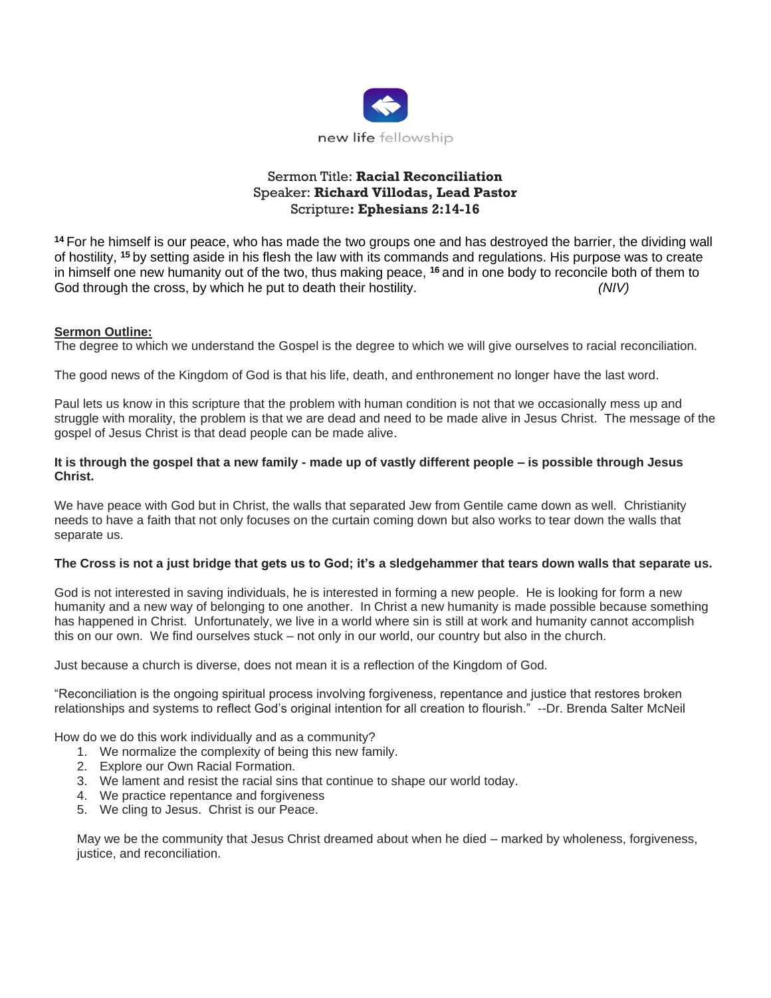

# Sermon Title: **Racial Reconciliation** Speaker: **Richard Villodas, Lead Pastor** Scripture**: Ephesians 2:14-16**

**<sup>14</sup>** For he himself is our peace, who has made the two groups one and has destroyed the barrier, the dividing wall of hostility, **<sup>15</sup>** by setting aside in his flesh the law with its commands and regulations. His purpose was to create in himself one new humanity out of the two, thus making peace, **<sup>16</sup>** and in one body to reconcile both of them to God through the cross, by which he put to death their hostility. *(NIV)*

#### **Sermon Outline:**

The degree to which we understand the Gospel is the degree to which we will give ourselves to racial reconciliation.

The good news of the Kingdom of God is that his life, death, and enthronement no longer have the last word.

Paul lets us know in this scripture that the problem with human condition is not that we occasionally mess up and struggle with morality, the problem is that we are dead and need to be made alive in Jesus Christ. The message of the gospel of Jesus Christ is that dead people can be made alive.

#### **It is through the gospel that a new family - made up of vastly different people – is possible through Jesus Christ.**

We have peace with God but in Christ, the walls that separated Jew from Gentile came down as well. Christianity needs to have a faith that not only focuses on the curtain coming down but also works to tear down the walls that separate us.

#### **The Cross is not a just bridge that gets us to God; it's a sledgehammer that tears down walls that separate us.**

God is not interested in saving individuals, he is interested in forming a new people. He is looking for form a new humanity and a new way of belonging to one another. In Christ a new humanity is made possible because something has happened in Christ. Unfortunately, we live in a world where sin is still at work and humanity cannot accomplish this on our own. We find ourselves stuck – not only in our world, our country but also in the church.

Just because a church is diverse, does not mean it is a reflection of the Kingdom of God.

"Reconciliation is the ongoing spiritual process involving forgiveness, repentance and justice that restores broken relationships and systems to reflect God's original intention for all creation to flourish." --Dr. Brenda Salter McNeil

How do we do this work individually and as a community?

- 1. We normalize the complexity of being this new family.
- 2. Explore our Own Racial Formation.
- 3. We lament and resist the racial sins that continue to shape our world today.
- 4. We practice repentance and forgiveness
- 5. We cling to Jesus. Christ is our Peace.

May we be the community that Jesus Christ dreamed about when he died – marked by wholeness, forgiveness, justice, and reconciliation.